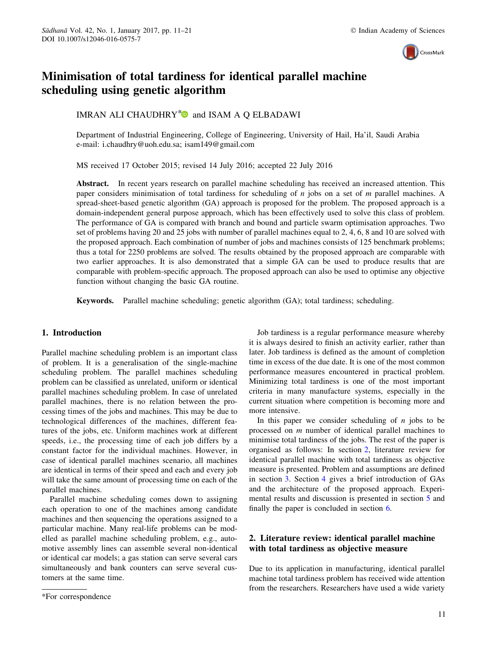

## <span id="page-0-0"></span>Minimisation of total tardiness for identical parallel machine scheduling using genetic algorithm

IMRAN ALI CHAUDHRY<sup>\*</sup> $\bullet$  and ISAM A Q ELBADAWI

Department of Industrial Engineering, College of Engineering, University of Hail, Ha'il, Saudi Arabia e-mail: i.chaudhry@uoh.edu.sa; isam149@gmail.com

MS received 17 October 2015; revised 14 July 2016; accepted 22 July 2016

Abstract. In recent years research on parallel machine scheduling has received an increased attention. This paper considers minimisation of total tardiness for scheduling of *n* jobs on a set of *m* parallel machines. A spread-sheet-based genetic algorithm (GA) approach is proposed for the problem. The proposed approach is a domain-independent general purpose approach, which has been effectively used to solve this class of problem. The performance of GA is compared with branch and bound and particle swarm optimisation approaches. Two set of problems having 20 and 25 jobs with number of parallel machines equal to 2, 4, 6, 8 and 10 are solved with the proposed approach. Each combination of number of jobs and machines consists of 125 benchmark problems; thus a total for 2250 problems are solved. The results obtained by the proposed approach are comparable with two earlier approaches. It is also demonstrated that a simple GA can be used to produce results that are comparable with problem-specific approach. The proposed approach can also be used to optimise any objective function without changing the basic GA routine.

Keywords. Parallel machine scheduling; genetic algorithm (GA); total tardiness; scheduling.

### 1. Introduction

Parallel machine scheduling problem is an important class of problem. It is a generalisation of the single-machine scheduling problem. The parallel machines scheduling problem can be classified as unrelated, uniform or identical parallel machines scheduling problem. In case of unrelated parallel machines, there is no relation between the processing times of the jobs and machines. This may be due to technological differences of the machines, different features of the jobs, etc. Uniform machines work at different speeds, i.e., the processing time of each job differs by a constant factor for the individual machines. However, in case of identical parallel machines scenario, all machines are identical in terms of their speed and each and every job will take the same amount of processing time on each of the parallel machines.

Parallel machine scheduling comes down to assigning each operation to one of the machines among candidate machines and then sequencing the operations assigned to a particular machine. Many real-life problems can be modelled as parallel machine scheduling problem, e.g., automotive assembly lines can assemble several non-identical or identical car models; a gas station can serve several cars simultaneously and bank counters can serve several customers at the same time.

Job tardiness is a regular performance measure whereby it is always desired to finish an activity earlier, rather than later. Job tardiness is defined as the amount of completion time in excess of the due date. It is one of the most common performance measures encountered in practical problem. Minimizing total tardiness is one of the most important criteria in many manufacture systems, especially in the current situation where competition is becoming more and more intensive.

In this paper we consider scheduling of *n* jobs to be processed on *m* number of identical parallel machines to minimise total tardiness of the jobs. The rest of the paper is organised as follows: In section 2, literature review for identical parallel machine with total tardiness as objective measure is presented. Problem and assumptions are defined in section [3](#page-1-0). Section [4](#page-3-0) gives a brief introduction of GAs and the architecture of the proposed approach. Experimental results and discussion is presented in section [5](#page-3-0) and finally the paper is concluded in section [6](#page-5-0).

## 2. Literature review: identical parallel machine with total tardiness as objective measure

Due to its application in manufacturing, identical parallel machine total tardiness problem has received wide attention from the researchers. Researchers have used a wide variety

<sup>\*</sup>For correspondence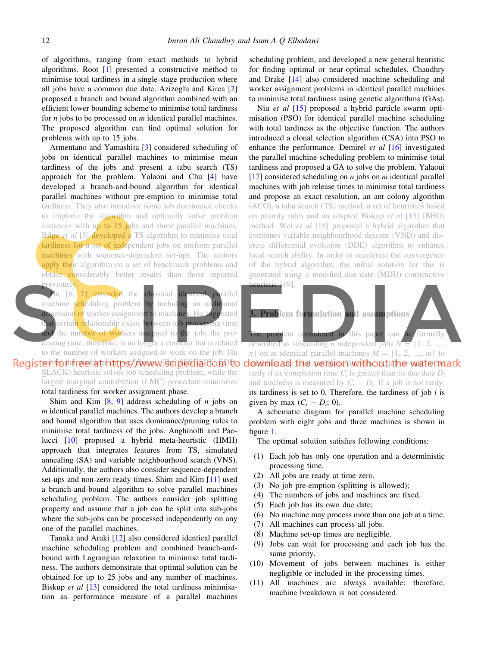<span id="page-1-0"></span>of algorithms, ranging from exact methods to hybrid algorithms. Root [[1\]](#page-9-0) presented a constructive method to minimise total tardiness in a single-stage production where all jobs have a common due date. Azizoglu and Kirca [\[2](#page-9-0)] proposed a branch and bound algorithm combined with an efficient lower bounding scheme to minimise total tardiness for *n* jobs to be processed on *m* identical parallel machines. The proposed algorithm can find optimal solution for problems with up to 15 jobs.

Armentano and Yamashita [[3\]](#page-9-0) considered scheduling of jobs on identical parallel machines to minimise mean tardiness of the jobs and present a tabu search (TS) approach for the problem. Yalaoui and Chu [\[4](#page-9-0)] have developed a branch-and-bound algorithm for identical parallel machines without pre-emption to minimise total tardiness. They also introduce some job dominance checks to improve the algorithm and optimally solve problem instances with  $up$  to 15 jobs and three parallel machines. Bilge *et al* [[5\]](#page-9-0) developed a TS algorithm to minimise total tardiness for a set of independent jobs on uniform parallel machines with sequence-dependent set-ups. The authors apply their algorithm on a set of benchmark problems and obtain considerably better results than those reported previously.

Hu [[6,](#page-9-0) [7\]](#page-9-0) extended the classical identical parallel machine scheduling problem by including an additional dimension of worker assignment to machines. Hu suggested that certain relationship exists between job processing time and the number of workers assigned to the job; the processing time, therefore, is no longer a constant but is related to the number of workers assigned to work on the job. Hu Register for the potat https / huwww. Bei pedia to m to SLACK) heuristic solves job scheduling problem, while the

> largest marginal contribution (LMC) procedure minimises total tardiness for worker assignment phase.

> Shim and Kim [[8,](#page-9-0) [9\]](#page-9-0) address scheduling of *n* jobs on *m* identical parallel machines. The authors develop a branch and bound algorithm that uses dominance/pruning rules to minimise total tardiness of the jobs. Anghinolfi and Paolucci [\[10](#page-9-0)] proposed a hybrid meta-heuristic (HMH) approach that integrates features from TS, simulated annealing (SA) and variable neighbourhood search (VNS). Additionally, the authors also consider sequence-dependent set-ups and non-zero ready times. Shim and Kim [[11](#page-9-0)] used a branch-and-bound algorithm to solve parallel machines scheduling problem. The authors consider job splitting property and assume that a job can be split into sub-jobs where the sub-jobs can be processed independently on any one of the parallel machines.

> Tanaka and Araki [\[12](#page-9-0)] also considered identical parallel machine scheduling problem and combined branch-andbound with Lagrangian relaxation to minimise total tardiness. The authors demonstrate that optimal solution can be obtained for up to 25 jobs and any number of machines. Biskup *et al* [[13\]](#page-9-0) considered the total tardiness minimisation as performance measure of a parallel machines

scheduling problem, and developed a new general heuristic for finding optimal or near-optimal schedules. Chaudhry and Drake [\[14](#page-9-0)] also considered machine scheduling and worker assignment problems in identical parallel machines to minimise total tardiness using genetic algorithms (GAs).

Niu *et al* [\[15](#page-9-0)] proposed a hybrid particle swarm optimisation (PSO) for identical parallel machine scheduling with total tardiness as the objective function. The authors introduced a clonal selection algorithm (CSA) into PSO to enhance the performance. Demirel *et al* [\[16](#page-9-0)] investigated the parallel machine scheduling problem to minimise total tardiness and proposed a GA to solve the problem. Yalaoui [\[17](#page-9-0)] considered scheduling on *n* jobs on *m* identical parallel machines with job release times to minimise total tardiness and propose an exact resolution, an ant colony algorithm (ACO), a tabu search (TS) method, a set of heuristics based on priority rules and an adapted Biskup *et al* [[13\]](#page-9-0) (BHG) method. Wei *et al* [[18\]](#page-9-0) proposed a hybrid algorithm that combines variable neighbourhood descent (VND) and discrete differential evolution (DDE) algorithm to enhance local search ability. In order to accelerate the convergence of the hybrid algorithm, the initial solution for this is generated using a modified due date (MDD) constructive





The problem considered in this paper can be formally described as scheduling *n* independent jobs  $N = \{1, 2, \ldots\}$ *n*} on *m* identical parallel machines  $M = \{1, 2, ..., m\}$  to downicad the version without the watermark tardy if its completion time  $C_i$  is greater than its due date  $D_i$ and tardiness is measured by  $C_i - D_i$ . If a job is not tardy, its tardiness is set to 0. Therefore, the tardiness of job *i* is given by max  $(C_i - D_i; 0)$ .

A schematic diagram for parallel machine scheduling problem with eight jobs and three machines is shown in figure [1](#page-2-0).

The optimal solution satisfies following conditions:

- (1) Each job has only one operation and a deterministic processing time.
- (2) All jobs are ready at time zero.
- (3) No job pre-emption (splitting is allowed);
- (4) The numbers of jobs and machines are fixed.
- (5) Each job has its own due date;
- (6) No machine may process more than one job at a time.
- (7) All machines can process all jobs.
- (8) Machine set-up times are negligible.
- (9) Jobs can wait for processing and each job has the same priority.
- (10) Movement of jobs between machines is either negligible or included in the processing times.
- (11) All machines are always available; therefore, machine breakdown is not considered.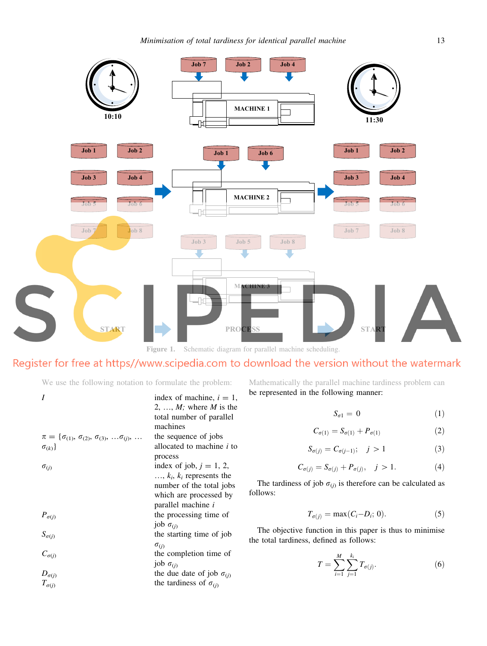<span id="page-2-0"></span>

Figure 1. Schematic diagram for parallel machine scheduling.

# Register for free at https//www.scipedia.com to download the version without the watermark

We use the following notation to formulate the problem:

|                                                                                  | index of machine, $i = 1$ ,<br>2, , $M$ ; where $M$ is the<br>total number of parallel<br>machines |
|----------------------------------------------------------------------------------|----------------------------------------------------------------------------------------------------|
| $\pi = {\sigma_{(1)}, \sigma_{(2)}, \sigma_{(3)}, \ldots, \sigma_{(j)}, \ldots}$ | the sequence of jobs                                                                               |
| $\sigma_{(k)}\}$                                                                 | allocated to machine <i>i</i> to                                                                   |
|                                                                                  | process                                                                                            |
| $\sigma_{(j)}$                                                                   | index of job, $j = 1, 2$ ,                                                                         |
|                                                                                  | $, k_i, k_i$ represents the                                                                        |
|                                                                                  | number of the total jobs                                                                           |
|                                                                                  | which are processed by                                                                             |
|                                                                                  | parallel machine i                                                                                 |
| $P_{\sigma(j)}$                                                                  | the processing time of                                                                             |
|                                                                                  | job $\sigma_{(i)}$                                                                                 |
| $S_{\sigma(j)}$                                                                  | the starting time of job                                                                           |
|                                                                                  | $\sigma_{(j)}$                                                                                     |
| $C_{\sigma(j)}$                                                                  | the completion time of                                                                             |
|                                                                                  | job $\sigma_{(i)}$                                                                                 |
| $D_{\sigma(j)}$                                                                  | the due date of job $\sigma_{(i)}$                                                                 |
| $T_{\sigma(i)}$                                                                  | the tardiness of $\sigma_{(i)}$                                                                    |
|                                                                                  |                                                                                                    |

Mathematically the parallel machine tardiness problem can be represented in the following manner:

$$
S_{\sigma 1} = 0 \tag{1}
$$

$$
C_{\sigma(1)} = S_{\sigma(1)} + P_{\sigma(1)} \tag{2}
$$

$$
S_{\sigma(j)} = C_{\sigma(j-1)}; \quad j > 1 \tag{3}
$$

$$
C_{\sigma(j)} = S_{\sigma(j)} + P_{\sigma(j)}, \quad j > 1.
$$
 (4)

The tardiness of job  $\sigma_{(j)}$  is therefore can be calculated as follows:

$$
T_{\sigma(j)} = \max(C_i - D_i; 0). \tag{5}
$$

The objective function in this paper is thus to minimise the total tardiness, defined as follows:

$$
T = \sum_{i=1}^{M} \sum_{j=1}^{k_i} T_{\sigma(j)}.
$$
 (6)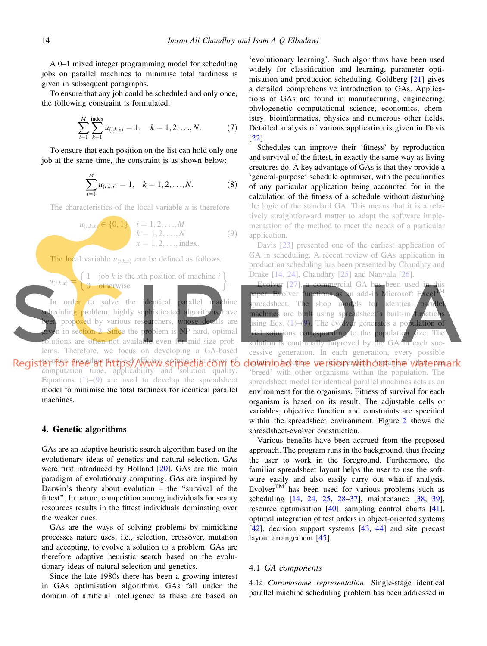<span id="page-3-0"></span>A 0–1 mixed integer programming model for scheduling jobs on parallel machines to minimise total tardiness is given in subsequent paragraphs.

To ensure that any job could be scheduled and only once, the following constraint is formulated:

$$
\sum_{i=1}^{M} \sum_{k=1}^{\text{index}} u_{(i,k,x)} = 1, \quad k = 1, 2, ..., N. \tag{7}
$$

To ensure that each position on the list can hold only one job at the same time, the constraint is as shown below:

$$
\sum_{i=1}^{M} u_{(i,k,x)} = 1, \quad k = 1, 2, ..., N.
$$
 (8)

The characteristics of the local variable  $u$  is therefore

$$
u_{(i,k,x)} \in \{0,1\} \quad i = 1,2,...,M
$$
  
\n $k = 1,2,...,N$   
\n $x = 1,2,..., \text{index.}$  (9)

The local variable  $u_{(i,kx)}$  can be defined as follows:



#### 4. Genetic algorithms

GAs are an adaptive heuristic search algorithm based on the evolutionary ideas of genetics and natural selection. GAs were first introduced by Holland [\[20](#page-9-0)]. GAs are the main paradigm of evolutionary computing. GAs are inspired by Darwin's theory about evolution – the ''survival of the fittest''. In nature, competition among individuals for scanty resources results in the fittest individuals dominating over the weaker ones.

GAs are the ways of solving problems by mimicking processes nature uses; i.e., selection, crossover, mutation and accepting, to evolve a solution to a problem. GAs are therefore adaptive heuristic search based on the evolutionary ideas of natural selection and genetics.

Since the late 1980s there has been a growing interest in GAs optimisation algorithms. GAs fall under the domain of artificial intelligence as these are based on

'evolutionary learning'. Such algorithms have been used widely for classification and learning, parameter optimisation and production scheduling. Goldberg [[21\]](#page-9-0) gives a detailed comprehensive introduction to GAs. Applications of GAs are found in manufacturing, engineering, phylogenetic computational science, economics, chemistry, bioinformatics, physics and numerous other fields. Detailed analysis of various application is given in Davis [\[22](#page-9-0)].

Schedules can improve their 'fitness' by reproduction and survival of the fittest, in exactly the same way as living creatures do. A key advantage of GAs is that they provide a 'general-purpose' schedule optimiser, with the peculiarities of any particular application being accounted for in the calculation of the fitness of a schedule without disturbing the logic of the standard GA. This means that it is a relatively straightforward matter to adapt the software implementation of the method to meet the needs of a particular application.

Davis [[23\]](#page-9-0) presented one of the earliest application of GA in scheduling. A recent review of GAs application in production scheduling has been presented by Chaudhry and Drake [[14,](#page-9-0) [24\]](#page-9-0), Chaudhry [[25\]](#page-9-0) and Nanvala [\[26](#page-9-0)].

Evolver [\[27](#page-9-0)], a commercial GA has been used in this paper. Evolver functions as an add-in Microsoft Excel spreadsheet. The shop models for identical parallel machines are built using spreadsheet's built-in functions using Eqs. ([1\)](#page-2-0)–(9). The evolver generates a population of trial solutions corresponding to the population size. The solution is continually improved by the GA in each successive generation. In each generation, every possible download the version with out the watermark 'breed' with other organisms within the population. The spreadsheet model for identical parallel machines acts as an environment for the organisms. Fitness of survival for each organism is based on its result. The adjustable cells or variables, objective function and constraints are specified within the spreadsheet environment. Figure [2](#page-4-0) shows the spreadsheet-evolver construction.

Various benefits have been accrued from the proposed approach. The program runs in the background, thus freeing the user to work in the foreground. Furthermore, the familiar spreadsheet layout helps the user to use the software easily and also easily carry out what-if analysis. Evolver<sup>TM</sup> has been used for various problems such as scheduling [\[14](#page-9-0), [24,](#page-9-0) [25](#page-9-0), [28–37\]](#page-9-0), maintenance [[38,](#page-9-0) [39](#page-9-0)], resource optimisation [\[40](#page-10-0)], sampling control charts [\[41](#page-10-0)], optimal integration of test orders in object-oriented systems [\[42](#page-10-0)], decision support systems [[43,](#page-10-0) [44](#page-10-0)] and site precast layout arrangement [[45\]](#page-10-0).

#### 4.1 *GA components*

4.1a *Chromosome representation*: Single-stage identical parallel machine scheduling problem has been addressed in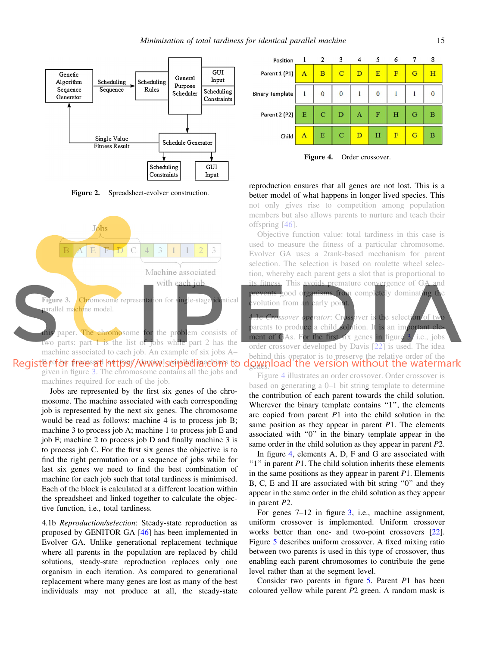<span id="page-4-0"></span>

Figure 2. Spreadsheet-evolver construction.



Register for free at https://www.scipedia.com to given in figure 3. The chromosome contains all the jobs and machines required for each of the job.

Jobs are represented by the first six genes of the chromosome. The machine associated with each corresponding job is represented by the next six genes. The chromosome would be read as follows: machine 4 is to process job B; machine 3 to process job A; machine 1 to process job E and job F; machine 2 to process job D and finally machine 3 is to process job C. For the first six genes the objective is to find the right permutation or a sequence of jobs while for last six genes we need to find the best combination of machine for each job such that total tardiness is minimised. Each of the block is calculated at a different location within the spreadsheet and linked together to calculate the objective function, i.e., total tardiness.

4.1b *Reproduction/selection*: Steady-state reproduction as proposed by GENITOR GA [[46\]](#page-10-0) has been implemented in Evolver GA. Unlike generational replacement technique where all parents in the population are replaced by child solutions, steady-state reproduction replaces only one organism in each iteration. As compared to generational replacement where many genes are lost as many of the best individuals may not produce at all, the steady-state



Figure 4. Order crossover.

reproduction ensures that all genes are not lost. This is a better model of what happens in longer lived species. This not only gives rise to competition among population members but also allows parents to nurture and teach their offspring [[46\]](#page-10-0).

Objective function value: total tardiness in this case is used to measure the fitness of a particular chromosome. Evolver GA uses a 2rank-based mechanism for parent selection. The selection is based on roulette wheel selection, whereby each parent gets a slot that is proportional to fitness. This avoids premature convergence of  $GA$  and good organisms from completely dominating the volution from an early point. sover **operator**: Crossover is the selection of two

parents to produce a child solution. It is an important element of GAs. For the first six genes in figure 3, i.e., jobs order crossover developed by Davis [\[22](#page-9-0)] is used. The idea behind this operator is to preserve the relative order of the download the version without the watermark

Figure 4 illustrates an order crossover. Order crossover is based on generating a 0–1 bit string template to determine the contribution of each parent towards the child solution. Wherever the binary template contains "1", the elements are copied from parent *P*1 into the child solution in the same position as they appear in parent *P*1. The elements associated with ''0'' in the binary template appear in the same order in the child solution as they appear in parent *P*2.

In figure 4, elements A, D, F and G are associated with " $1$ " in parent *P*1. The child solution inherits these elements in the same positions as they appear in parent *P*1. Elements B, C, E and H are associated with bit string ''0'' and they appear in the same order in the child solution as they appear in parent *P*2.

For genes 7–12 in figure 3, i.e., machine assignment, uniform crossover is implemented. Uniform crossover works better than one- and two-point crossovers [\[22](#page-9-0)]. Figure [5](#page-5-0) describes uniform crossover. A fixed mixing ratio between two parents is used in this type of crossover, thus enabling each parent chromosomes to contribute the gene level rather than at the segment level.

Consider two parents in figure [5](#page-5-0). Parent *P*1 has been coloured yellow while parent *P*2 green. A random mask is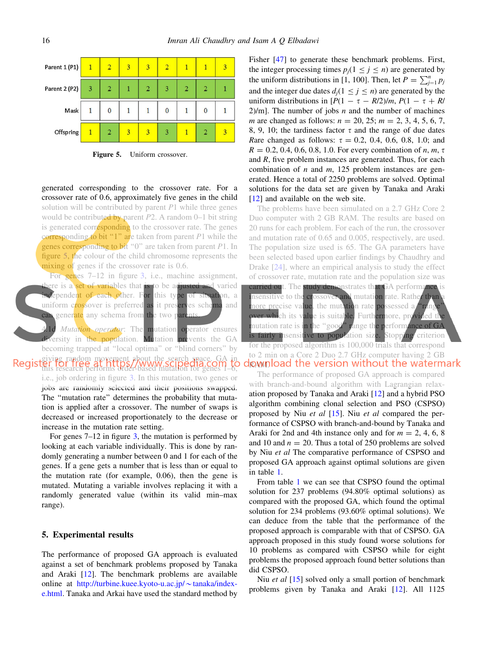<span id="page-5-0"></span>

Figure 5. Uniform crossover.

generated corresponding to the crossover rate. For a crossover rate of 0.6, approximately five genes in the child solution will be contributed by parent *P*1 while three genes would be contributed by parent *P*2. A random 0–1 bit string is generated corresponding to the crossover rate. The genes corresponding to bit ''1'' are taken from parent *P*1 while the genes corresponding to bit ''0'' are taken from parent *P*1. In figure 5, the colour of the child chromosome represents the mixing of genes if the crossover rate is 0.6.

For genes 7–12 in figure [3,](#page-4-0) i.e., machine assignment, there is a set of variables that is to be adjusted and varied **independent of each other.** For this type of situation, a uniform crossover is preferred as it preserves schema and can generate any schema from the two parents.

Mutation operator: The mutation operator ensures diversity in the population. Mutation prevents the GA becoming trapped at ''local optima'' or ''blind corners'' by giving random movement about the search space. GA in this research performs order-based mutation for genes 1–6, i.e., job ordering in figure [3.](#page-4-0) In this mutation, two genes or jobs are randomly selected and their positions swapped. The "mutation rate" determines the probability that mutation is applied after a crossover. The number of swaps is decreased or increased proportionately to the decrease or increase in the mutation rate setting.

For genes  $7-12$  in figure [3,](#page-4-0) the mutation is performed by looking at each variable individually. This is done by randomly generating a number between 0 and 1 for each of the genes. If a gene gets a number that is less than or equal to the mutation rate (for example, 0.06), then the gene is mutated. Mutating a variable involves replacing it with a randomly generated value (within its valid min–max range).

#### 5. Experimental results

The performance of proposed GA approach is evaluated against a set of benchmark problems proposed by Tanaka and Araki [\[12](#page-9-0)]. The benchmark problems are available online at [http://turbine.kuee.kyoto-u.ac.jp/](http://turbine.kuee.kyoto-u.ac.jp/%7etanaka/index-e.html) $\sim$ tanaka/index[e.html](http://turbine.kuee.kyoto-u.ac.jp/%7etanaka/index-e.html). Tanaka and Arkai have used the standard method by Fisher [\[47](#page-10-0)] to generate these benchmark problems. First, the integer processing times  $p_j$ (1  $\leq j \leq n$ ) are generated by the uniform distributions in [1, 100]. Then, let  $P = \sum_{j=1}^{n} p_j$ and the integer due dates  $d_i(1 \le j \le n)$  are generated by the uniform distributions in  $[P(1 - \tau - R/2)/m, P(1 - \tau + R/2)]$ 2)/m]. The number of jobs *n* and the number of machines *m* are changed as follows: *n* = 20, 25; *m* = 2, 3, 4, 5, 6, 7, 8, 9, 10; the tardiness factor  $\tau$  and the range of due dates *Rare changed as follows:*  $\tau = 0.2, 0.4, 0.6, 0.8, 1.0;$  and  $R = 0.2, 0.4, 0.6, 0.8, 1.0$ . For every combination of *n*, *m*,  $\tau$ and *R*, five problem instances are generated. Thus, for each combination of *n* and *m*, 125 problem instances are generated. Hence a total of 2250 problems are solved. Optimal solutions for the data set are given by Tanaka and Araki [\[12](#page-9-0)] and available on the web site.

The problems have been simulated on a 2.7 GHz Core 2 Duo computer with 2 GB RAM. The results are based on 20 runs for each problem. For each of the run, the crossover and mutation rate of 0.65 and 0.005, respectively, are used. The population size used is 65. The GA parameters have been selected based upon earlier findings by Chaudhry and Drake [[24](#page-9-0)], where an empirical analysis to study the effect of crossover rate, mutation rate and the population size was carried out. The study demonstrates that GA performance is insensitive to the crossover and mutation rate. Rather than more precise value, the mutation rate possessed a "range over which its value is suitable. Furthermore, provided the mutation rate is in the "good" range the performance of GA is fairly insensitive to population size. Stopping criterion for the proposed algorithm is 100,000 trials that correspond to 2 min on a Core 2 Duo 2.7 GHz computer having 2 GB download the version without the watermark

The performance of proposed GA approach is compared with branch-and-bound algorithm with Lagrangian relaxation proposed by Tanaka and Araki [\[12](#page-9-0)] and a hybrid PSO algorithm combining clonal selection and PSO (CSPSO) proposed by Niu *et al* [[15\]](#page-9-0). Niu *et al* compared the performance of CSPSO with branch-and-bound by Tanaka and Araki for 2nd and 4th instance only and for  $m = 2, 4, 6, 8$ and 10 and  $n = 20$ . Thus a total of 250 problems are solved by Niu *et al* The comparative performance of CSPSO and proposed GA approach against optimal solutions are given in table [1.](#page-6-0)

From table [1](#page-6-0) we can see that CSPSO found the optimal solution for 237 problems (94.80% optimal solutions) as compared with the proposed GA, which found the optimal solution for 234 problems (93.60% optimal solutions). We can deduce from the table that the performance of the proposed approach is comparable with that of CSPSO. GA approach proposed in this study found worse solutions for 10 problems as compared with CSPSO while for eight problems the proposed approach found better solutions than did CSPSO.

Niu *et al* [\[15](#page-9-0)] solved only a small portion of benchmark problems given by Tanaka and Araki [[12\]](#page-9-0). All 1125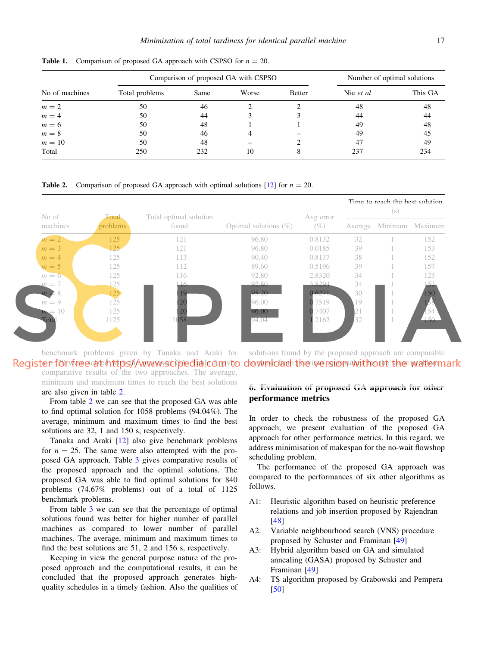|                |                | Comparison of proposed GA with CSPSO | Number of optimal solutions |        |           |         |
|----------------|----------------|--------------------------------------|-----------------------------|--------|-----------|---------|
| No of machines | Total problems | Same                                 | Worse                       | Better | Niu et al | This GA |
| $m = 2$        | 50             | 46                                   |                             |        | 48        | 48      |
| $m = 4$        | 50             | 44                                   |                             |        | 44        | 44      |
| $m = 6$        | 50             | 48                                   |                             |        | 49        | 48      |
| $m=8$          | 50             | 46                                   | 4                           |        | 49        | 45      |
| $m=10$         | 50             | 48                                   |                             |        | 47        | 49      |
| Total          | 250            | 232                                  | 10                          |        | 237       | 234     |

<span id="page-6-0"></span>**Table 1.** Comparison of proposed GA approach with CSPSO for  $n = 20$ .

**Table 2.** Comparison of proposed GA approach with optimal solutions  $[12]$  for  $n = 20$ .



benchmark problems given by Tanaka and Araki for Registe=for free at https://www.scipedia.com/to comparative results of the two approaches. The average, minimum and maximum times to reach the best solutions

solutions found by the proposed approach are comparable do w proach the iversion without the watermark

are also given in table 2.

From table 2 we can see that the proposed GA was able to find optimal solution for 1058 problems (94.04%). The average, minimum and maximum times to find the best solutions are 32, 1 and 150 s, respectively.

Tanaka and Araki [\[12](#page-9-0)] also give benchmark problems for  $n = 25$ . The same were also attempted with the proposed GA approach. Table [3](#page-7-0) gives comparative results of the proposed approach and the optimal solutions. The proposed GA was able to find optimal solutions for 840 problems (74.67% problems) out of a total of 1125 benchmark problems.

From table [3](#page-7-0) we can see that the percentage of optimal solutions found was better for higher number of parallel machines as compared to lower number of parallel machines. The average, minimum and maximum times to find the best solutions are 51, 2 and 156 s, respectively.

Keeping in view the general purpose nature of the proposed approach and the computational results, it can be concluded that the proposed approach generates highquality schedules in a timely fashion. Also the qualities of

## 6. Evaluation of proposed GA approach for other performance metrics

In order to check the robustness of the proposed GA approach, we present evaluation of the proposed GA approach for other performance metrics. In this regard, we address minimisation of makespan for the no-wait flowshop scheduling problem.

The performance of the proposed GA approach was compared to the performances of six other algorithms as follows.

- A1: Heuristic algorithm based on heuristic preference relations and job insertion proposed by Rajendran [\[48](#page-10-0)]
- A2: Variable neighbourhood search (VNS) procedure proposed by Schuster and Framinan [[49\]](#page-10-0)
- A3: Hybrid algorithm based on GA and simulated annealing (GASA) proposed by Schuster and Framinan [\[49](#page-10-0)]
- A4: TS algorithm proposed by Grabowski and Pempera [\[50](#page-10-0)]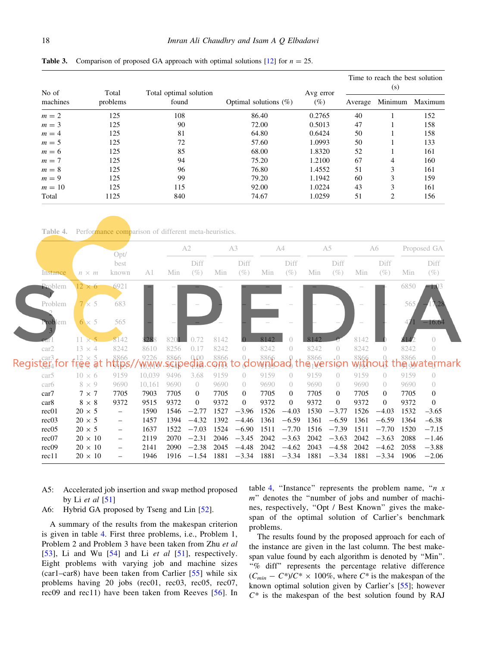|                   |                   |                                 |                          |                     | Time to reach the best solution<br>(s) |                |         |  |  |
|-------------------|-------------------|---------------------------------|--------------------------|---------------------|----------------------------------------|----------------|---------|--|--|
| No of<br>machines | Total<br>problems | Total optimal solution<br>found | Optimal solutions $(\%)$ | Avg error<br>$(\%)$ | Average                                | Minimum        | Maximum |  |  |
| $m=2$             | 125               | 108                             | 86.40                    | 0.2765              | 40                                     |                | 152     |  |  |
| $m = 3$           | 125               | 90                              | 72.00                    | 0.5013              | 47                                     |                | 158     |  |  |
| $m=4$             | 125               | 81                              | 64.80                    | 0.6424              | 50                                     |                | 158     |  |  |
| $m = 5$           | 125               | 72                              | 57.60                    | 1.0993              | 50                                     |                | 133     |  |  |
| $m=6$             | 125               | 85                              | 68.00                    | 1.8320              | 52                                     |                | 161     |  |  |
| $m = 7$           | 125               | 94                              | 75.20                    | 1.2100              | 67                                     | 4              | 160     |  |  |
| $m = 8$           | 125               | 96                              | 76.80                    | 1.4552              | 51                                     | 3              | 161     |  |  |
| $m = 9$           | 125               | 99                              | 79.20                    | 1.1942              | 60                                     | 3              | 159     |  |  |
| $m=10$            | 125               | 115                             | 92.00                    | 1.0224              | 43                                     | 3              | 161     |  |  |
| Total             | 1125              | 840                             | 74.67                    | 1.0259              | 51                                     | $\overline{c}$ | 156     |  |  |

<span id="page-7-0"></span>**Table 3.** Comparison of proposed GA approach with optimal solutions  $[12]$  for  $n = 25$ .

Table 4. Performance comparison of different meta-heuristics.

|                                 | Opt/                                                           |                          |                | A2   |                | A3   |                  | A4   |                | A5             |                  | A6   |                | Proposed GA               |                  |
|---------------------------------|----------------------------------------------------------------|--------------------------|----------------|------|----------------|------|------------------|------|----------------|----------------|------------------|------|----------------|---------------------------|------------------|
|                                 |                                                                | best                     |                |      | Diff           |      | Diff             |      | Diff           |                | Diff             |      | Diff           |                           | Diff             |
| Instance                        | $n \times m$                                                   | known                    | A <sub>1</sub> | Min  | $(\%)$         | Min  | $(\%)$           | Min  | $(\%)$         | Min            | $(\%)$           | Min  | $(\%)$         | Min                       | $(\%)$           |
| Problem                         | $12 \times 6$                                                  | 6921                     |                |      |                |      |                  |      |                |                |                  |      |                | 6850                      | $-1.03$          |
| Problem                         | $7 \times 5$                                                   | 683                      |                |      |                |      |                  |      |                |                |                  |      |                | 565                       |                  |
| Problem                         | $6 \times 5$                                                   | 565                      |                |      |                |      |                  |      |                |                |                  |      |                |                           | $-16.64$         |
|                                 |                                                                | 8142                     | 328            |      |                | 8142 |                  | 8142 |                | R <sub>1</sub> |                  | 8142 |                |                           | $\bigcap$        |
| car2                            | $13 \times 4$                                                  | 8242                     | 8610           | 8256 | 0.17           | 8242 | $\overline{0}$   | 8242 | $\overline{0}$ | 8242           | $\overline{0}$   | 8242 | $\overline{0}$ | 8242                      | $\overline{0}$   |
| car3<br>Registër <sub>4</sub> t | $\mathsf{F}^{12}_\mathsf{R} \mathsf{F}^\times_\mathsf{R}$<br>ą | 8866                     | 9226           | 8866 | 0.00<br>la     | 8866 |                  | 8866 |                | 8866<br>e      | $\cdot$ 0<br>SIQ | 8866 |                | 8866<br>℩℮ <sub>ℾ</sub> ൰ | ter              |
| car5                            | $10 \times 6$                                                  | 9159                     | 10.039         | 9496 | 3.68           | 9159 | $\theta$         | 9159 | $\bigcirc$     | 9159           | $\bigcirc$       | 9159 | $\bigcirc$     | 9159                      | $\left( \right)$ |
| car <sub>6</sub>                | $8 \times 9$                                                   | 9690                     | 10,161         | 9690 | $\overline{0}$ | 9690 | $\overline{0}$   | 9690 | $\overline{0}$ | 9690           | $\overline{0}$   | 9690 | $\overline{0}$ | 9690                      | $\overline{0}$   |
| car7                            | $7 \times 7$                                                   | 7705                     | 7903           | 7705 | $\Omega$       | 7705 | $\overline{0}$   | 7705 | $\theta$       | 7705           | 0                | 7705 | $\bf{0}$       | 7705                      | $\mathbf{0}$     |
| car8                            | $8\,\times\,8$                                                 | 9372                     | 9515           | 9372 | $\overline{0}$ | 9372 | $\boldsymbol{0}$ | 9372 | $\theta$       | 9372           | $\overline{0}$   | 9372 | $\overline{0}$ | 9372                      | $\theta$         |
| rec <sub>01</sub>               | $20 \times 5$                                                  | $\overline{\phantom{m}}$ | 1590           | 1546 | $-2.77$        | 1527 | $-3.96$          | 1526 | $-4.03$        | 1530           | $-3.77$          | 1526 | $-4.03$        | 1532                      | $-3.65$          |
| rec03                           | $20 \times 5$                                                  | $\qquad \qquad -$        | 1457           | 1394 | $-4.32$        | 1392 | $-4.46$          | 1361 | $-6.59$        | 1361           | $-6.59$          | 1361 | $-6.59$        | 1364                      | $-6.38$          |
| rec05                           | $20 \times 5$                                                  | -                        | 1637           | 1522 | $-7.03$        | 1524 | $-6.90$          | 1511 | $-7.70$        | 1516           | $-7.39$          | 1511 | $-7.70$        | 1520                      | $-7.15$          |
| rec07                           | $20 \times 10$                                                 | $\overline{\phantom{0}}$ | 2119           | 2070 | $-2.31$        | 2046 | $-3.45$          | 2042 | $-3.63$        | 2042           | $-3.63$          | 2042 | $-3.63$        | 2088                      | $-1.46$          |
| rec <sub>09</sub>               | $20 \times 10$                                                 | -                        | 2141           | 2090 | $-2.38$        | 2045 | $-4.48$          | 2042 | $-4.62$        | 2043           | $-4.58$          | 2042 | $-4.62$        | 2058                      | $-3.88$          |
| rec11                           | $20\,\times\,10$                                               |                          | 1946           | 1916 | $-1.54$        | 1881 | $-3.34$          | 1881 | $-3.34$        | 1881           | $-3.34$          | 1881 | $-3.34$        | 1906                      | $-2.06$          |

- A5: Accelerated job insertion and swap method proposed by Li *et al* [[51\]](#page-10-0)
- A6: Hybrid GA proposed by Tseng and Lin [[52\]](#page-10-0).

A summary of the results from the makespan criterion is given in table 4. First three problems, i.e., Problem 1, Problem 2 and Problem 3 have been taken from Zhu *et al* [\[53\]](#page-10-0), Li and Wu [[54](#page-10-0)] and Li *et al* [[51](#page-10-0)], respectively. Eight problems with varying job and machine sizes (car1–car8) have been taken from Carlier [[55\]](#page-10-0) while six problems having 20 jobs (rec01, rec03, rec05, rec07, rec09 and rec11) have been taken from Reeves [[56\]](#page-10-0). In table 4, ''Instance'' represents the problem name, ''*n x m*'' denotes the ''number of jobs and number of machines, respectively, ''Opt / Best Known'' gives the makespan of the optimal solution of Carlier's benchmark problems.

The results found by the proposed approach for each of the instance are given in the last column. The best makespan value found by each algorithm is denoted by ''Min''. ''% diff'' represents the percentage relative difference  $(C_{min} - C^*)/C^* \times 100\%$ , where  $C^*$  is the makespan of the known optimal solution given by Carlier's [[55\]](#page-10-0); however *C\** is the makespan of the best solution found by RAJ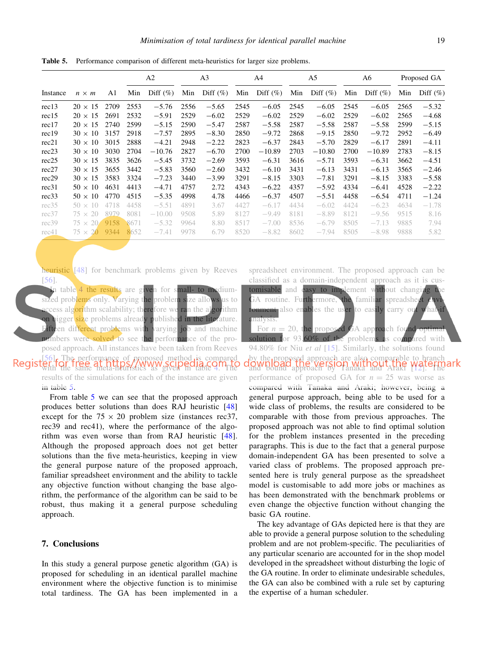Table 5. Performance comparison of different meta-heuristics for larger size problems.

|          |                |      |      | A <sub>2</sub> |      | A <sub>3</sub> | A <sub>4</sub> |             | A5   |             | A6   |             | Proposed GA |             |
|----------|----------------|------|------|----------------|------|----------------|----------------|-------------|------|-------------|------|-------------|-------------|-------------|
| Instance | $n \times m$   | A1   | Min  | Diff $(\%)$    | Min  | Diff $(\%)$    | Min            | Diff $(\%)$ | Min  | Diff $(\%)$ | Min  | Diff $(\%)$ | Min         | Diff $(\%)$ |
| rec13    | $20 \times 15$ | 2709 | 2553 | $-5.76$        | 2556 | $-5.65$        | 2545           | $-6.05$     | 2545 | $-6.05$     | 2545 | $-6.05$     | 2565        | $-5.32$     |
| rec15    | $20 \times 15$ | 2691 | 2532 | $-5.91$        | 2529 | $-6.02$        | 2529           | $-6.02$     | 2529 | $-6.02$     | 2529 | $-6.02$     | 2565        | $-4.68$     |
| rec17    | $20 \times 15$ | 2740 | 2599 | $-5.15$        | 2590 | $-5.47$        | 2587           | $-5.58$     | 2587 | $-5.58$     | 2587 | $-5.58$     | 2599        | $-5.15$     |
| rec19    | $30 \times 10$ | 3157 | 2918 | $-7.57$        | 2895 | $-8.30$        | 2850           | $-9.72$     | 2868 | $-9.15$     | 2850 | $-9.72$     | 2952        | $-6.49$     |
| rec21    | $30 \times 10$ | 3015 | 2888 | $-4.21$        | 2948 | $-2.22$        | 2823           | $-6.37$     | 2843 | $-5.70$     | 2829 | $-6.17$     | 2891        | $-4.11$     |
| rec23    | $30 \times 10$ | 3030 | 2704 | $-10.76$       | 2827 | $-6.70$        | 2700           | $-10.89$    | 2703 | $-10.80$    | 2700 | $-10.89$    | 2783        | $-8.15$     |
| rec25    | $30 \times 15$ | 3835 | 3626 | $-5.45$        | 3732 | $-2.69$        | 3593           | $-6.31$     | 3616 | $-5.71$     | 3593 | $-6.31$     | 3662        | $-4.51$     |
| rec27    | $30 \times 15$ | 3655 | 3442 | $-5.83$        | 3560 | $-2.60$        | 3432           | $-6.10$     | 3431 | $-6.13$     | 3431 | $-6.13$     | 3565        | $-2.46$     |
| rec29    | $30 \times 15$ | 3583 | 3324 | $-7.23$        | 3440 | $-3.99$        | 3291           | $-8.15$     | 3303 | $-7.81$     | 3291 | $-8.15$     | 3383        | $-5.58$     |
| rec31    | $50 \times 10$ | 4631 | 4413 | $-4.71$        | 4757 | 2.72           | 4343           | $-6.22$     | 4357 | $-5.92$     | 4334 | $-6.41$     | 4528        | $-2.22$     |
| rec33    | $50 \times 10$ | 4770 | 4515 | $-5.35$        | 4998 | 4.78           | 4466           | $-6.37$     | 4507 | $-5.51$     | 4458 | $-6.54$     | 4711        | $-1.24$     |
| rec35    | $50 \times 10$ | 4718 | 4458 | $-5.51$        | 4891 | 3.67           | 4427           | $-6.17$     | 4434 | $-6.02$     | 4424 | $-6.23$     | 4634        | $-1.78$     |
| rec37    | $75 \times 20$ | 8979 | 8081 | $-10.00$       | 9508 | 5.89           | 8127           | $-9.49$     | 8181 | $-8.89$     | 8121 | $-9.56$     | 9515        | 8.16        |
| rec39    | $75 \times 20$ | 9158 | 8671 | $-5.32$        | 9964 | 8.80           | 8517           | $-7.00$     | 8536 | $-6.79$     | 8505 | $-7.13$     | 9885        | 7.94        |
| rec41    | $75 \times 20$ | 9344 | 8652 | $-7.41$        | 9978 | 6.79           | 8520           | $-8.82$     | 8602 | $-7.94$     | 8505 | $-8.98$     | 9888        | 5.82        |

heuristic [[48\]](#page-10-0) for benchmark problems given by Reeves [\[56](#page-10-0)].

In table [4](#page-7-0) the results are given for small- to mediumsized problems only. Varying the problem size allows us to access alg<mark>ori</mark>thm scalability; therefore we ran the algorithm on bigger size problems already published in the literature. Fifteen different problems with varying job and machine numbers were solved to see the performance of the proposed approach. All instances have been taken from Reeves [\[56](#page-10-0)]. The performance of proposed method is compared with the same meta-heuristics as given in table [4](#page-7-0). The results of the simulations for each of the instance are given in table 5.

From table 5 we can see that the proposed approach produces better solutions than does RAJ heuristic [[48](#page-10-0)] except for the  $75 \times 20$  problem size (instances rec37, rec39 and rec41), where the performance of the algorithm was even worse than from RAJ heuristic [\[48\]](#page-10-0). Although the proposed approach does not get better solutions than the five meta-heuristics, keeping in view the general purpose nature of the proposed approach, familiar spreadsheet environment and the ability to tackle any objective function without changing the base algorithm, the performance of the algorithm can be said to be robust, thus making it a general purpose scheduling approach.

#### 7. Conclusions

In this study a general purpose genetic algorithm (GA) is proposed for scheduling in an identical parallel machine environment where the objective function is to minimise total tardiness. The GA has been implemented in a

spreadsheet environment. The proposed approach can be classified as a domain-independent approach as it is customisable and easy to implement without changing t GA routine. Furthermore, the familiar spreadsheet ronment also enables the user to easily carry ou analysis.

For  $n = 20$ , the proposed GA approach found solution for 93.60% of the problems as compared with 94.80% for Niu *et al* [[15](#page-9-0)]. Similarly, the solutions found by the proposed approach are also comparable to branch and bound approach by Tanaka and Araki [\[12](#page-9-0)]. The performance of proposed GA for  $n = 25$  was worse as compared with Tanaka and Araki; however, being a general purpose approach, being able to be used for a wide class of problems, the results are considered to be comparable with those from previous approaches. The proposed approach was not able to find optimal solution for the problem instances presented in the preceding paragraphs. This is due to the fact that a general purpose domain-independent GA has been presented to solve a varied class of problems. The proposed approach presented here is truly general purpose as the spreadsheet model is customisable to add more jobs or machines as has been demonstrated with the benchmark problems or even change the objective function without changing the basic GA routine.

The key advantage of GAs depicted here is that they are able to provide a general purpose solution to the scheduling problem and are not problem-specific. The peculiarities of any particular scenario are accounted for in the shop model developed in the spreadsheet without disturbing the logic of the GA routine. In order to eliminate undesirable schedules, the GA can also be combined with a rule set by capturing the expertise of a human scheduler.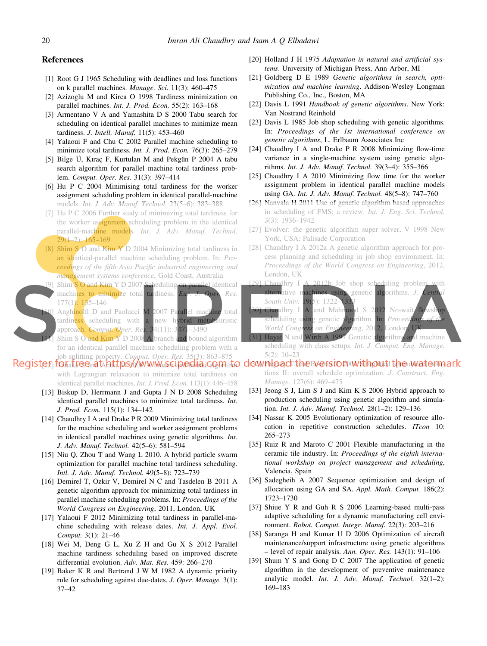#### <span id="page-9-0"></span>References

- [1] Root G J 1965 Scheduling with deadlines and loss functions on k parallel machines. *Manage. Sci.* 11(3): 460–475
- [2] Azizoglu M and Kirca O 1998 Tardiness minimization on parallel machines. *Int. J. Prod. Econ.* 55(2): 163–168
- [3] Armentano V A and Yamashita D S 2000 Tabu search for scheduling on identical parallel machines to minimize mean tardiness. *J. Intell. Manuf.* 11(5): 453–460
- [4] Yalaoui F and Chu C 2002 Parallel machine scheduling to minimize total tardiness. *Int. J. Prod. Econ.* 76(3): 265–279
- [5] Bilge Ü, Kıraç F, Kurtulan M and Pekgün P 2004 A tabu search algorithm for parallel machine total tardiness problem. *Comput. Oper. Res.* 31(3): 397–414
- [6] Hu P C 2004 Minimising total tardiness for the worker assignment scheduling problem in identical parallel-machine models. *Int. J. Adv. Manuf. Technol.* 23(5–6): 383–388
- [7] Hu P C 2006 Further study of minimizing total tardiness for the worker assignment scheduling problem in the identical parallel-machine models. *Int. J. Adv. Manuf. Technol.* 29(1–2): 165–169
- [8] Shim S O and Kim Y D 2004 Minimizing total tardiness in an identical-parallel machine scheduling problem. In: *Proceedings of the fifth Asia Pacific industrial engineering and management systems conference*, Gold Coast, Australia
- Shim S O and Kim Y D 2007 Scheduling on parallel identical machines to minimize total tardiness. *Eur. J. Oper. Res.* 177(1): 135–146
- Anghinolfi D and Paolucci M 2007 Parallel machine total tardiness scheduling with a new hybrid metaheuristic approach. *Comput. Oper. Res.* 34(11): 3471–3490
- Shim S O and Kim Y D 2008 A branch and bound algorithm for an identical parallel machine scheduling problem with a job splitting property. *Comput. Oper. Res.* 35(3): 863–875

## $[61]$  To $\rm{fa}$ k $\rm{6}$ Q $\rm{ra}$ t $\rm{A}$ kk $\rm{p}$ S $\rm{d}$ W W W $\rm{Me}$ G $\rm{Ga}$ G $\rm{Ga}$ C $\rm{O}$ B $\rm{Ha}$ k $\rm{O}$  and  $\rm{Fe}$   $\rm{Na}$   $\rm{Fe}$   $\rm{Na}$   $\rm{Fe}$   $\rm{Na}$   $\rm{Fe}$   $\rm{Na}$   $\rm{Fe}$   $\rm{Na}$   $\rm{Fe}$   $\rm{Na}$   $\rm{Fe}$   $\rm$

- with Lagrangian relaxation to minimize total tardiness on identical parallel machines. *Int. J. Prod. Econ.* 113(1): 446–458
- [13] Biskup D, Herrmann J and Gupta J N D 2008 Scheduling identical parallel machines to minimize total tardiness. *Int. J. Prod. Econ.* 115(1): 134–142
- [14] Chaudhry I A and Drake P R 2009 Minimizing total tardiness for the machine scheduling and worker assignment problems in identical parallel machines using genetic algorithms. *Int. J. Adv. Manuf. Technol.* 42(5–6): 581–594
- [15] Niu Q, Zhou T and Wang L 2010. A hybrid particle swarm optimization for parallel machine total tardiness scheduling. *Intl. J. Adv. Manuf. Technol.* 49(5–8): 723–739
- [16] Demirel T, Ozkir V, Demirel N C and Tasdelen B 2011 A genetic algorithm approach for minimizing total tardiness in parallel machine scheduling problems. In: *Proceedings of the World Congress on Engineering*, 2011, London, UK
- [17] Yalaoui F 2012 Minimizing total tardiness in parallel-machine scheduling with release dates. *Int. J. Appl. Evol. Comput.* 3(1): 21–46
- [18] Wei M, Deng G L, Xu Z H and Gu X S 2012 Parallel machine tardiness scheduling based on improved discrete differential evolution. *Adv. Mat. Res.* 459: 266–270
- [19] Baker K R and Bertrand J W M 1982 A dynamic priority rule for scheduling against due-dates. *J. Oper. Manage.* 3(1): 37–42
- [20] Holland J H 1975 *Adaptation in natural and artificial systems*. University of Michigan Press, Ann Arbor, MI
- [21] Goldberg D E 1989 *Genetic algorithms in search, optimization and machine learning*. Addison-Wesley Longman Publishing Co., Inc., Boston, MA
- [22] Davis L 1991 *Handbook of genetic algorithms*. New York: Van Nostrand Reinhold
- [23] Davis L 1985 Job shop scheduling with genetic algorithms. In: *Proceedings of the 1st international conference on genetic algorithms*, L. Erlbaum Associates Inc
- [24] Chaudhry I A and Drake P R 2008 Minimizing flow-time variance in a single-machine system using genetic algorithms. *Int. J. Adv. Manuf. Technol.* 39(3–4): 355–366
- [25] Chaudhry I A 2010 Minimizing flow time for the worker assignment problem in identical parallel machine models using GA. *Int. J. Adv. Manuf. Technol.* 48(5–8): 747–760
- [26] Nanvala H 2011 Use of genetic algorithm based approaches in scheduling of FMS: a review. *Int. J. Eng. Sci. Technol.* 3(3): 1936–1942
- [27] Evolver: the genetic algorithm super solver, V 1998 New York, USA: Palisade Corporation
- [28] Chaudhry I A 2012a A genetic algorithm approach for process planning and scheduling in job shop environment. In: *Proceedings of the World Congress on Engineering*, 2012, London, UK
- [29] Chaudhry I A 2012b Job shop scheduling problem with alternative machines using genetic algorithms. *J. Central South Univ.* **19(5)**: 1322-133
- Chaudhry I A and Mahmood S 2012 No-wait scheduling using genetic algorithm. In: *Proceeding World Congress on Engineering*, 2012, London
- Hayat N and Wirth A 1997 Genetic algorithms and machine scheduling with class setups. *Int. J. Comput. Eng. Manage.* 5(2): 10–23

tions II: overall schedule optimization. *J. Construct. Eng. Manage.* 127(6): 469–475

- [33] Jeong S J, Lim S J and Kim K S 2006 Hybrid approach to production scheduling using genetic algorithm and simulation. *Int. J. Adv. Manuf. Technol.* 28(1–2): 129–136
- [34] Nassar K 2005 Evolutionary optimization of resource allocation in repetitive construction schedules. *ITcon* 10: 265–273
- [35] Ruiz R and Maroto C 2001 Flexible manufacturing in the ceramic tile industry. In: *Proceedings of the eighth international workshop on project management and scheduling*, Valencia, Spain
- [36] Sadegheih A 2007 Sequence optimization and design of allocation using GA and SA. *Appl. Math. Comput.* 186(2): 1723–1730
- [37] Shiue Y R and Guh R S 2006 Learning-based multi-pass adaptive scheduling for a dynamic manufacturing cell environment. *Robot. Comput. Integr. Manuf.* 22(3): 203–216
- [38] Saranga H and Kumar U D 2006 Optimization of aircraft maintenance/support infrastructure using genetic algorithms – level of repair analysis. *Ann. Oper. Res.* 143(1): 91–106
- [39] Shum Y S and Gong D C 2007 The application of genetic algorithm in the development of preventive maintenance analytic model. *Int. J. Adv. Manuf. Technol.* 32(1–2): 169–183